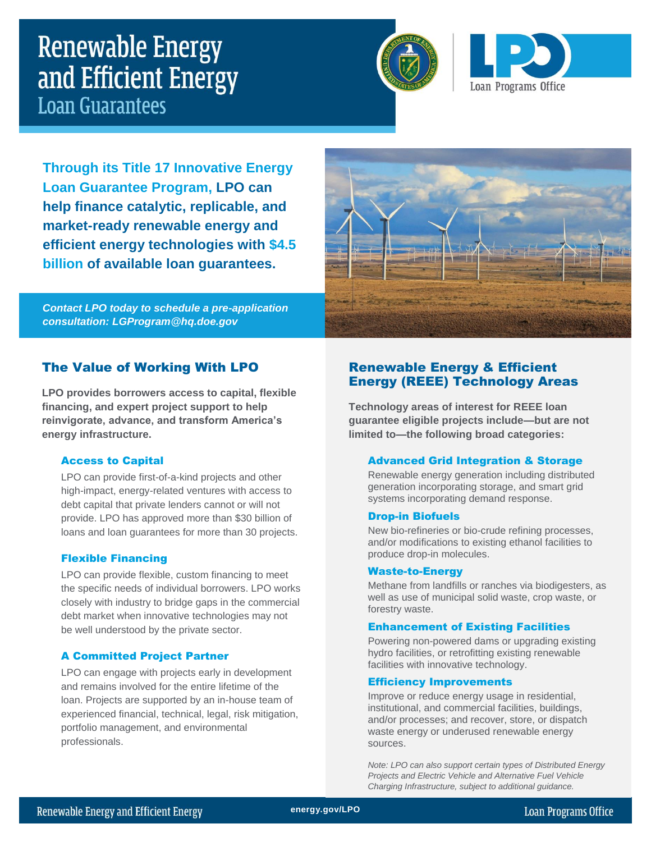# **Renewable Energy** and Efficient Energy **Loan Guarantees**





**Through its Title 17 Innovative Energy Loan Guarantee Program, LPO can help finance catalytic, replicable, and market-ready renewable energy and efficient energy technologies with \$4.5 billion of available loan guarantees.**

*Contact LPO today to schedule a pre-application consultation: LGProgram@hq.doe.gov*



# The Value of Working With LPO

**LPO provides borrowers access to capital, flexible financing, and expert project support to help reinvigorate, advance, and transform America's energy infrastructure.**

#### Access to Capital

LPO can provide first-of-a-kind projects and other high-impact, energy-related ventures with access to debt capital that private lenders cannot or will not provide. LPO has approved more than \$30 billion of loans and loan guarantees for more than 30 projects.

#### Flexible Financing

LPO can provide flexible, custom financing to meet the specific needs of individual borrowers. LPO works closely with industry to bridge gaps in the commercial debt market when innovative technologies may not be well understood by the private sector.

#### A Committed Project Partner

LPO can engage with projects early in development and remains involved for the entire lifetime of the loan. Projects are supported by an in-house team of experienced financial, technical, legal, risk mitigation, portfolio management, and environmental professionals.

# Renewable Energy & Efficient Energy (REEE) Technology Areas

**Technology areas of interest for REEE loan guarantee eligible projects include—but are not limited to—the following broad categories:**

#### Advanced Grid Integration & Storage

Renewable energy generation including distributed generation incorporating storage, and smart grid systems incorporating demand response.

#### Drop-in Biofuels

New bio-refineries or bio-crude refining processes, and/or modifications to existing ethanol facilities to produce drop-in molecules.

#### Waste-to-Energy

Methane from landfills or ranches via biodigesters, as well as use of municipal solid waste, crop waste, or forestry waste.

#### Enhancement of Existing Facilities

Powering non-powered dams or upgrading existing hydro facilities, or retrofitting existing renewable facilities with innovative technology.

#### Efficiency Improvements

Improve or reduce energy usage in residential, institutional, and commercial facilities, buildings, and/or processes; and recover, store, or dispatch waste energy or underused renewable energy sources.

*Note: LPO can also support certain types of Distributed Energy Projects and Electric Vehicle and Alternative Fuel Vehicle Charging Infrastructure, subject to additional guidance.*